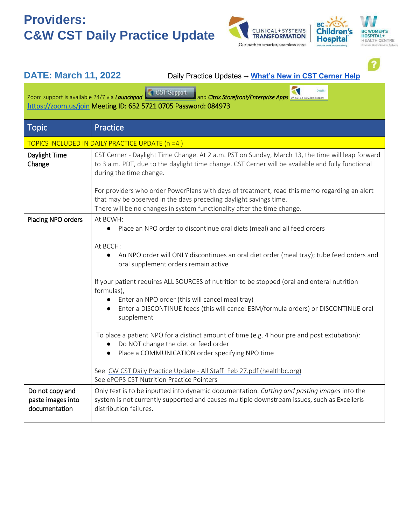## **Providers: C&W CST Daily Practice Update**





 $\bullet$ 

| <b>DATE: March 11, 2022</b>                                                                                                                                                                       | Daily Practice Updates → What's New in CST Cerner Help                                                                                                                                                                                                                                                                                                                                                                                                                                                                                                                                                                                                                                                                                                                                                                                              |  |  |  |
|---------------------------------------------------------------------------------------------------------------------------------------------------------------------------------------------------|-----------------------------------------------------------------------------------------------------------------------------------------------------------------------------------------------------------------------------------------------------------------------------------------------------------------------------------------------------------------------------------------------------------------------------------------------------------------------------------------------------------------------------------------------------------------------------------------------------------------------------------------------------------------------------------------------------------------------------------------------------------------------------------------------------------------------------------------------------|--|--|--|
| Zoom support is available 24/7 via Launchpad CST Support<br>and Citrix Storefront/Enterprise Apps CW CST Go-flive Zoom Support<br>https://zoom.us/join Meeting ID: 652 5721 0705 Password: 084973 |                                                                                                                                                                                                                                                                                                                                                                                                                                                                                                                                                                                                                                                                                                                                                                                                                                                     |  |  |  |
| <b>Topic</b>                                                                                                                                                                                      | Practice                                                                                                                                                                                                                                                                                                                                                                                                                                                                                                                                                                                                                                                                                                                                                                                                                                            |  |  |  |
| TOPICS INCLUDED IN DAILY PRACTICE UPDATE (n =4)                                                                                                                                                   |                                                                                                                                                                                                                                                                                                                                                                                                                                                                                                                                                                                                                                                                                                                                                                                                                                                     |  |  |  |
| Daylight Time<br>Change                                                                                                                                                                           | CST Cerner - Daylight Time Change. At 2 a.m. PST on Sunday, March 13, the time will leap forward<br>to 3 a.m. PDT, due to the daylight time change. CST Cerner will be available and fully functional<br>during the time change.                                                                                                                                                                                                                                                                                                                                                                                                                                                                                                                                                                                                                    |  |  |  |
|                                                                                                                                                                                                   | For providers who order PowerPlans with days of treatment, read this memo regarding an alert<br>that may be observed in the days preceding daylight savings time.<br>There will be no changes in system functionality after the time change.                                                                                                                                                                                                                                                                                                                                                                                                                                                                                                                                                                                                        |  |  |  |
| Placing NPO orders                                                                                                                                                                                | At BCWH:<br>Place an NPO order to discontinue oral diets (meal) and all feed orders<br>$\bullet$<br>At BCCH:<br>An NPO order will ONLY discontinues an oral diet order (meal tray); tube feed orders and<br>$\bullet$<br>oral supplement orders remain active<br>If your patient requires ALL SOURCES of nutrition to be stopped (oral and enteral nutrition<br>formulas),<br>Enter an NPO order (this will cancel meal tray)<br>Enter a DISCONTINUE feeds (this will cancel EBM/formula orders) or DISCONTINUE oral<br>supplement<br>To place a patient NPO for a distinct amount of time (e.g. 4 hour pre and post extubation):<br>Do NOT change the diet or feed order<br>Place a COMMUNICATION order specifying NPO time<br>See CW CST Daily Practice Update - All Staff Feb 27.pdf (healthbc.org)<br>See ePOPS CST Nutrition Practice Pointers |  |  |  |
| Do not copy and<br>paste images into<br>documentation                                                                                                                                             | Only text is to be inputted into dynamic documentation. Cutting and pasting images into the<br>system is not currently supported and causes multiple downstream issues, such as Excelleris<br>distribution failures.                                                                                                                                                                                                                                                                                                                                                                                                                                                                                                                                                                                                                                |  |  |  |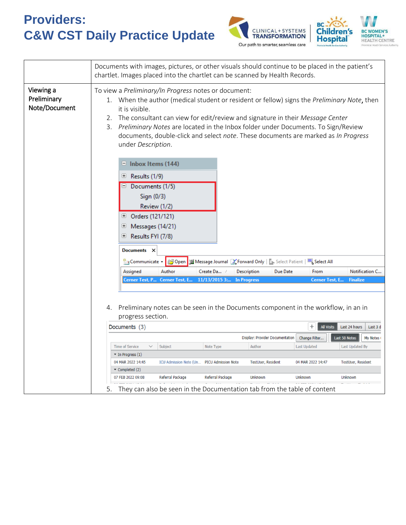## **Providers: C&W CST Daily Practice Update**





|                                           | Documents with images, pictures, or other visuals should continue to be placed in the patient's<br>chartlet. Images placed into the chartlet can be scanned by Health Records.                                                                                                                                                                                                                                                                                         |  |  |  |  |
|-------------------------------------------|------------------------------------------------------------------------------------------------------------------------------------------------------------------------------------------------------------------------------------------------------------------------------------------------------------------------------------------------------------------------------------------------------------------------------------------------------------------------|--|--|--|--|
| Viewing a<br>Preliminary<br>Note/Document | To view a Preliminary/In Progress notes or document:<br>When the author (medical student or resident or fellow) signs the Preliminary Note, then<br>1.<br>it is visible.<br>The consultant can view for edit/review and signature in their Message Center<br>2.<br>Preliminary Notes are located in the Inbox folder under Documents. To Sign/Review<br>3.<br>documents, double-click and select note. These documents are marked as In Progress<br>under Description. |  |  |  |  |
|                                           | $\blacksquare$ Inbox Items (144)<br>Results (1/9)<br>巴<br>Documents (1/5)<br>Sign (0/3)<br>Review (1/2)<br>Orders (121/121)<br>$\overline{t}$<br>Messages (14/21)<br>$\overline{\mathbf{t}}$<br>Results FYI (7/8)<br>$\overline{+}$<br>Documents X                                                                                                                                                                                                                     |  |  |  |  |
|                                           | <b>B</b> Open <b>Solect All Solect All Solect Patient</b>   <b>Solect All</b><br>Communicate                                                                                                                                                                                                                                                                                                                                                                           |  |  |  |  |
|                                           | Author<br>Assigned<br>Create Da /<br>Description<br>Due Date<br>From<br>Notification C                                                                                                                                                                                                                                                                                                                                                                                 |  |  |  |  |
|                                           | 11/13/2015 3:<br>Cerner Test, P<br>Cerner Test, E.<br><b>In Progress</b><br>Cerner Test, E.<br><b>Finalize</b><br>Preliminary notes can be seen in the Documents component in the workflow, in an in<br>4.                                                                                                                                                                                                                                                             |  |  |  |  |
|                                           | progress section.                                                                                                                                                                                                                                                                                                                                                                                                                                                      |  |  |  |  |
|                                           | $^{+}$<br><b>All Visits</b><br>Last 24 hours<br>Documents (3)<br>Last 3 d                                                                                                                                                                                                                                                                                                                                                                                              |  |  |  |  |
|                                           | <b>Display: Provider Documentation</b><br>Change Filter<br>Last 50 Notes<br>My Notes (                                                                                                                                                                                                                                                                                                                                                                                 |  |  |  |  |
|                                           | <b>Time of Service</b><br>Subject<br>Author<br><b>Last Updated</b><br>Note Type<br>Last Updated By<br>$\checkmark$                                                                                                                                                                                                                                                                                                                                                     |  |  |  |  |
|                                           | $\blacktriangleright$ In Progress (1)<br>04 MAR 2022 14:45<br>ICU Admission Note (Un PICU Admission Note<br>04 MAR 2022 14:47<br><b>TestUser, Resident</b><br><b>TestUser, Resident</b>                                                                                                                                                                                                                                                                                |  |  |  |  |
|                                           | $\blacktriangledown$ Completed (2)<br>07 FEB 2022 09:08<br>Referral Package<br>Referral Package<br><b>Unknown</b><br>Unknown<br>Unknown                                                                                                                                                                                                                                                                                                                                |  |  |  |  |
|                                           | 5.<br>They can also be seen in the Documentation tab from the table of content                                                                                                                                                                                                                                                                                                                                                                                         |  |  |  |  |